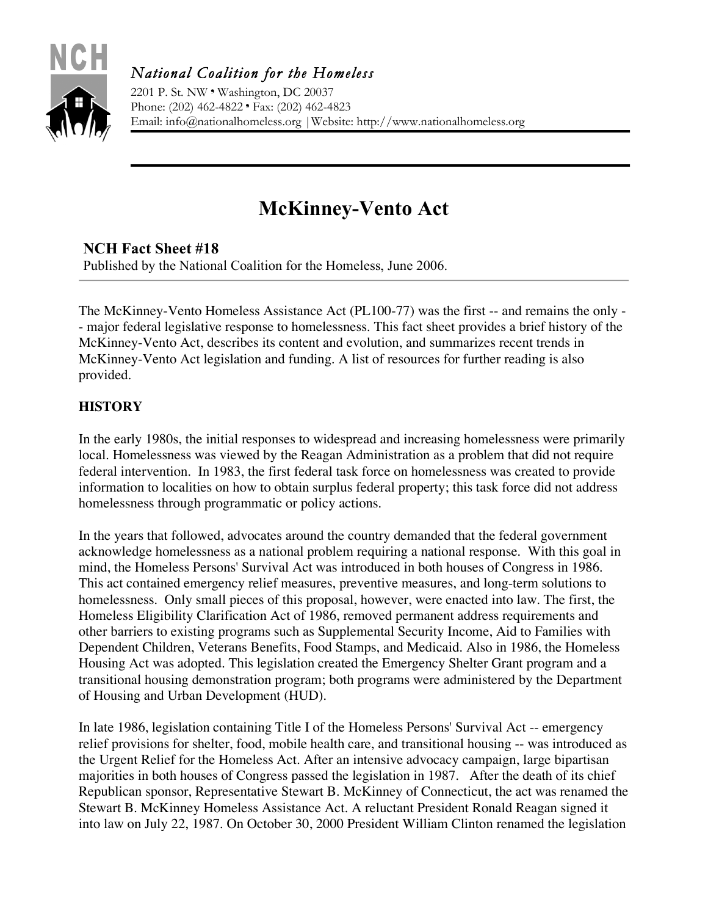

*National Coalition for the Homeless* 

2201 P. St. NW ❜ Washington, DC 20037 Phone: (202) 462-4822 ❜ Fax: (202) 462-4823 Email: info@nationalhomeless.org |Website: http://www.nationalhomeless.org

# **McKinney-Vento Act**

# **NCH Fact Sheet #18**

Published by the National Coalition for the Homeless, June 2006.

The McKinney-Vento Homeless Assistance Act (PL100-77) was the first -- and remains the only - - major federal legislative response to homelessness. This fact sheet provides a brief history of the McKinney-Vento Act, describes its content and evolution, and summarizes recent trends in McKinney-Vento Act legislation and funding. A list of resources for further reading is also provided.

# **HISTORY**

In the early 1980s, the initial responses to widespread and increasing homelessness were primarily local. Homelessness was viewed by the Reagan Administration as a problem that did not require federal intervention. In 1983, the first federal task force on homelessness was created to provide information to localities on how to obtain surplus federal property; this task force did not address homelessness through programmatic or policy actions.

In the years that followed, advocates around the country demanded that the federal government acknowledge homelessness as a national problem requiring a national response. With this goal in mind, the Homeless Persons' Survival Act was introduced in both houses of Congress in 1986. This act contained emergency relief measures, preventive measures, and long-term solutions to homelessness. Only small pieces of this proposal, however, were enacted into law. The first, the Homeless Eligibility Clarification Act of 1986, removed permanent address requirements and other barriers to existing programs such as Supplemental Security Income, Aid to Families with Dependent Children, Veterans Benefits, Food Stamps, and Medicaid. Also in 1986, the Homeless Housing Act was adopted. This legislation created the Emergency Shelter Grant program and a transitional housing demonstration program; both programs were administered by the Department of Housing and Urban Development (HUD).

In late 1986, legislation containing Title I of the Homeless Persons' Survival Act -- emergency relief provisions for shelter, food, mobile health care, and transitional housing -- was introduced as the Urgent Relief for the Homeless Act. After an intensive advocacy campaign, large bipartisan majorities in both houses of Congress passed the legislation in 1987. After the death of its chief Republican sponsor, Representative Stewart B. McKinney of Connecticut, the act was renamed the Stewart B. McKinney Homeless Assistance Act. A reluctant President Ronald Reagan signed it into law on July 22, 1987. On October 30, 2000 President William Clinton renamed the legislation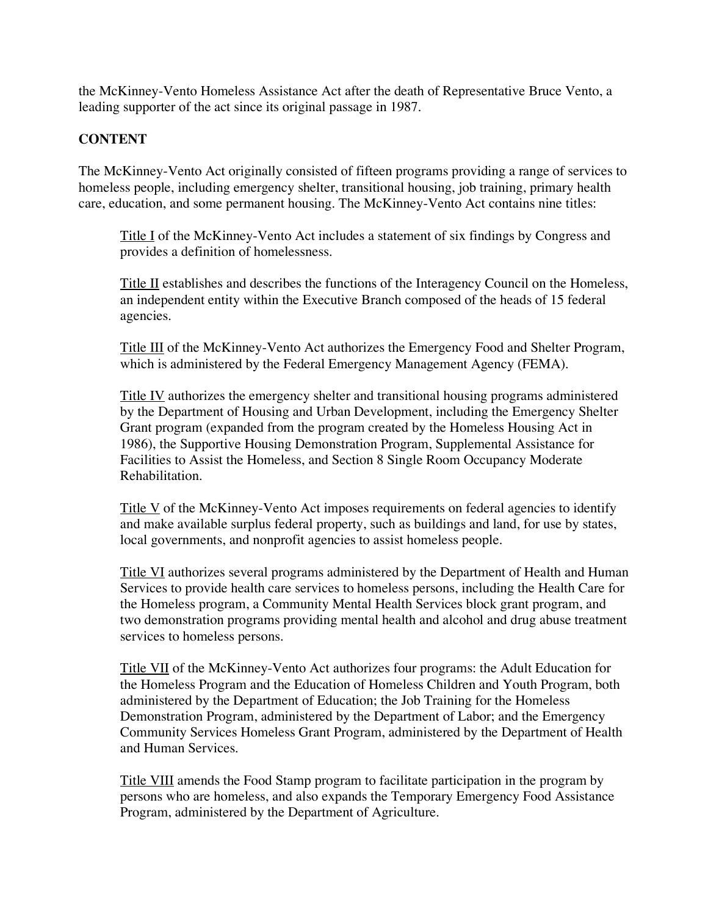the McKinney-Vento Homeless Assistance Act after the death of Representative Bruce Vento, a leading supporter of the act since its original passage in 1987.

### **CONTENT**

The McKinney-Vento Act originally consisted of fifteen programs providing a range of services to homeless people, including emergency shelter, transitional housing, job training, primary health care, education, and some permanent housing. The McKinney-Vento Act contains nine titles:

Title I of the McKinney-Vento Act includes a statement of six findings by Congress and provides a definition of homelessness.

Title II establishes and describes the functions of the Interagency Council on the Homeless, an independent entity within the Executive Branch composed of the heads of 15 federal agencies.

Title III of the McKinney-Vento Act authorizes the Emergency Food and Shelter Program, which is administered by the Federal Emergency Management Agency (FEMA).

Title IV authorizes the emergency shelter and transitional housing programs administered by the Department of Housing and Urban Development, including the Emergency Shelter Grant program (expanded from the program created by the Homeless Housing Act in 1986), the Supportive Housing Demonstration Program, Supplemental Assistance for Facilities to Assist the Homeless, and Section 8 Single Room Occupancy Moderate Rehabilitation.

Title V of the McKinney-Vento Act imposes requirements on federal agencies to identify and make available surplus federal property, such as buildings and land, for use by states, local governments, and nonprofit agencies to assist homeless people.

Title VI authorizes several programs administered by the Department of Health and Human Services to provide health care services to homeless persons, including the Health Care for the Homeless program, a Community Mental Health Services block grant program, and two demonstration programs providing mental health and alcohol and drug abuse treatment services to homeless persons.

Title VII of the McKinney-Vento Act authorizes four programs: the Adult Education for the Homeless Program and the Education of Homeless Children and Youth Program, both administered by the Department of Education; the Job Training for the Homeless Demonstration Program, administered by the Department of Labor; and the Emergency Community Services Homeless Grant Program, administered by the Department of Health and Human Services.

Title VIII amends the Food Stamp program to facilitate participation in the program by persons who are homeless, and also expands the Temporary Emergency Food Assistance Program, administered by the Department of Agriculture.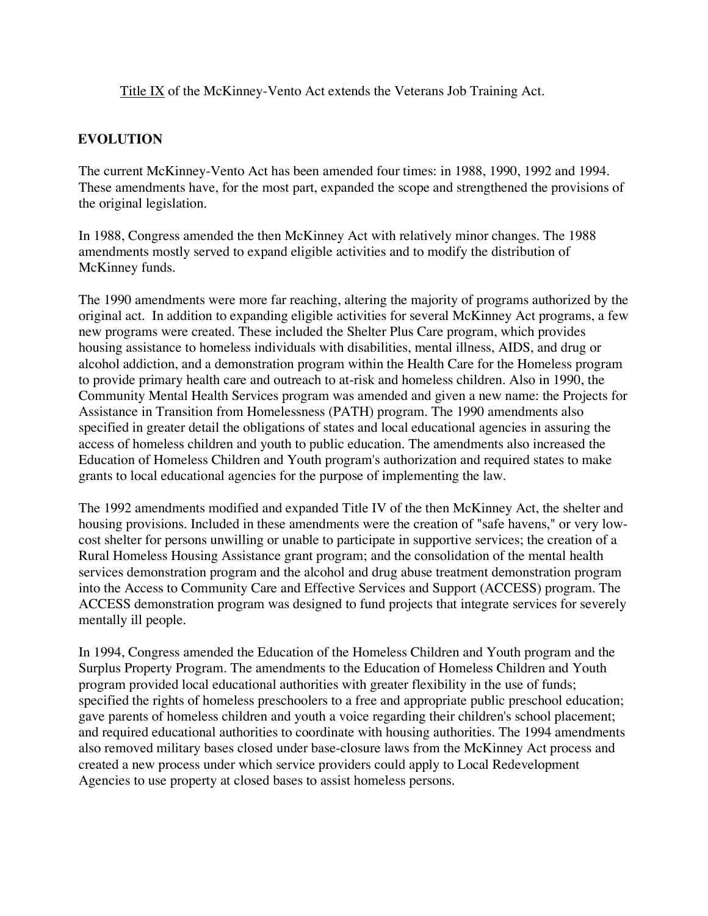Title IX of the McKinney-Vento Act extends the Veterans Job Training Act.

# **EVOLUTION**

The current McKinney-Vento Act has been amended four times: in 1988, 1990, 1992 and 1994. These amendments have, for the most part, expanded the scope and strengthened the provisions of the original legislation.

In 1988, Congress amended the then McKinney Act with relatively minor changes. The 1988 amendments mostly served to expand eligible activities and to modify the distribution of McKinney funds.

The 1990 amendments were more far reaching, altering the majority of programs authorized by the original act. In addition to expanding eligible activities for several McKinney Act programs, a few new programs were created. These included the Shelter Plus Care program, which provides housing assistance to homeless individuals with disabilities, mental illness, AIDS, and drug or alcohol addiction, and a demonstration program within the Health Care for the Homeless program to provide primary health care and outreach to at-risk and homeless children. Also in 1990, the Community Mental Health Services program was amended and given a new name: the Projects for Assistance in Transition from Homelessness (PATH) program. The 1990 amendments also specified in greater detail the obligations of states and local educational agencies in assuring the access of homeless children and youth to public education. The amendments also increased the Education of Homeless Children and Youth program's authorization and required states to make grants to local educational agencies for the purpose of implementing the law.

The 1992 amendments modified and expanded Title IV of the then McKinney Act, the shelter and housing provisions. Included in these amendments were the creation of "safe havens," or very lowcost shelter for persons unwilling or unable to participate in supportive services; the creation of a Rural Homeless Housing Assistance grant program; and the consolidation of the mental health services demonstration program and the alcohol and drug abuse treatment demonstration program into the Access to Community Care and Effective Services and Support (ACCESS) program. The ACCESS demonstration program was designed to fund projects that integrate services for severely mentally ill people.

In 1994, Congress amended the Education of the Homeless Children and Youth program and the Surplus Property Program. The amendments to the Education of Homeless Children and Youth program provided local educational authorities with greater flexibility in the use of funds; specified the rights of homeless preschoolers to a free and appropriate public preschool education; gave parents of homeless children and youth a voice regarding their children's school placement; and required educational authorities to coordinate with housing authorities. The 1994 amendments also removed military bases closed under base-closure laws from the McKinney Act process and created a new process under which service providers could apply to Local Redevelopment Agencies to use property at closed bases to assist homeless persons.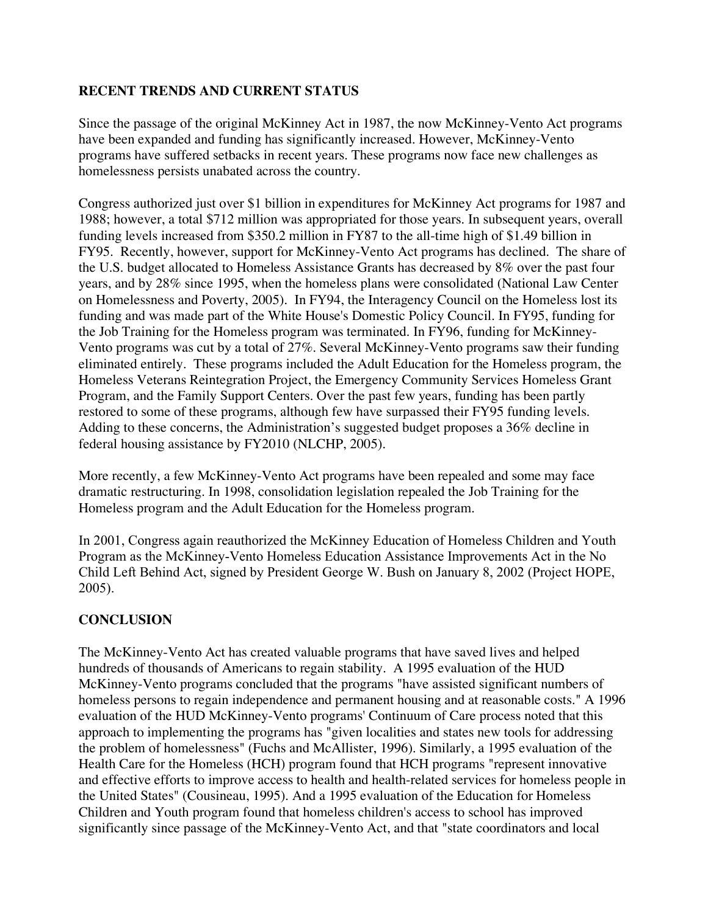### **RECENT TRENDS AND CURRENT STATUS**

Since the passage of the original McKinney Act in 1987, the now McKinney-Vento Act programs have been expanded and funding has significantly increased. However, McKinney-Vento programs have suffered setbacks in recent years. These programs now face new challenges as homelessness persists unabated across the country.

Congress authorized just over \$1 billion in expenditures for McKinney Act programs for 1987 and 1988; however, a total \$712 million was appropriated for those years. In subsequent years, overall funding levels increased from \$350.2 million in FY87 to the all-time high of \$1.49 billion in FY95. Recently, however, support for McKinney-Vento Act programs has declined. The share of the U.S. budget allocated to Homeless Assistance Grants has decreased by 8% over the past four years, and by 28% since 1995, when the homeless plans were consolidated (National Law Center on Homelessness and Poverty, 2005). In FY94, the Interagency Council on the Homeless lost its funding and was made part of the White House's Domestic Policy Council. In FY95, funding for the Job Training for the Homeless program was terminated. In FY96, funding for McKinney-Vento programs was cut by a total of 27%. Several McKinney-Vento programs saw their funding eliminated entirely. These programs included the Adult Education for the Homeless program, the Homeless Veterans Reintegration Project, the Emergency Community Services Homeless Grant Program, and the Family Support Centers. Over the past few years, funding has been partly restored to some of these programs, although few have surpassed their FY95 funding levels. Adding to these concerns, the Administration's suggested budget proposes a 36% decline in federal housing assistance by FY2010 (NLCHP, 2005).

More recently, a few McKinney-Vento Act programs have been repealed and some may face dramatic restructuring. In 1998, consolidation legislation repealed the Job Training for the Homeless program and the Adult Education for the Homeless program.

In 2001, Congress again reauthorized the McKinney Education of Homeless Children and Youth Program as the McKinney-Vento Homeless Education Assistance Improvements Act in the No Child Left Behind Act, signed by President George W. Bush on January 8, 2002 (Project HOPE, 2005).

## **CONCLUSION**

The McKinney-Vento Act has created valuable programs that have saved lives and helped hundreds of thousands of Americans to regain stability. A 1995 evaluation of the HUD McKinney-Vento programs concluded that the programs "have assisted significant numbers of homeless persons to regain independence and permanent housing and at reasonable costs." A 1996 evaluation of the HUD McKinney-Vento programs' Continuum of Care process noted that this approach to implementing the programs has "given localities and states new tools for addressing the problem of homelessness" (Fuchs and McAllister, 1996). Similarly, a 1995 evaluation of the Health Care for the Homeless (HCH) program found that HCH programs "represent innovative and effective efforts to improve access to health and health-related services for homeless people in the United States" (Cousineau, 1995). And a 1995 evaluation of the Education for Homeless Children and Youth program found that homeless children's access to school has improved significantly since passage of the McKinney-Vento Act, and that "state coordinators and local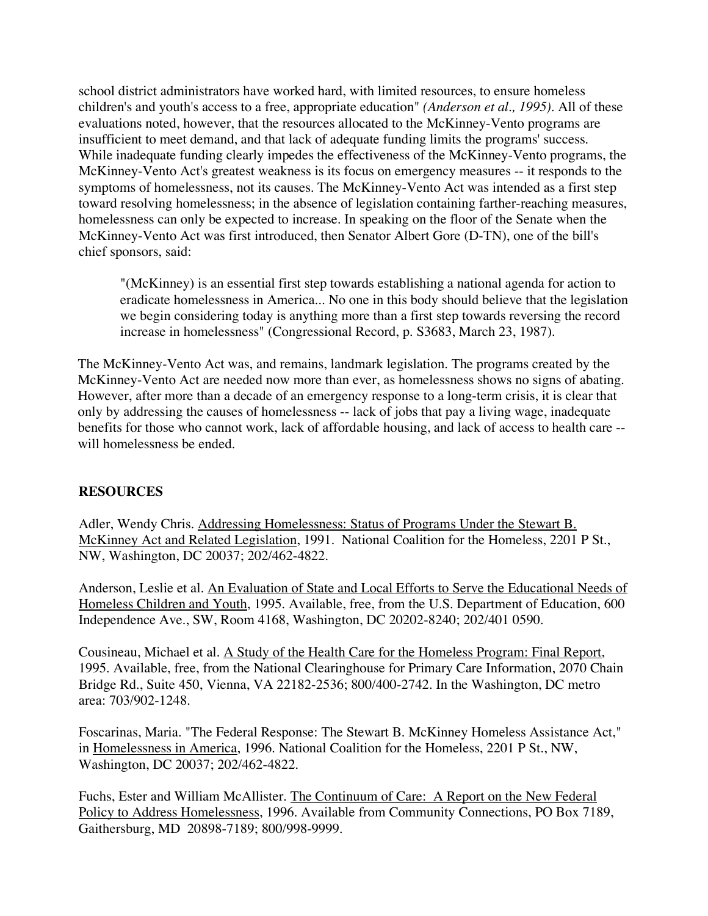school district administrators have worked hard, with limited resources, to ensure homeless children's and youth's access to a free, appropriate education" *(Anderson et al., 1995).* All of these evaluations noted, however, that the resources allocated to the McKinney-Vento programs are insufficient to meet demand, and that lack of adequate funding limits the programs' success. While inadequate funding clearly impedes the effectiveness of the McKinney-Vento programs, the McKinney-Vento Act's greatest weakness is its focus on emergency measures -- it responds to the symptoms of homelessness, not its causes. The McKinney-Vento Act was intended as a first step toward resolving homelessness; in the absence of legislation containing farther-reaching measures, homelessness can only be expected to increase. In speaking on the floor of the Senate when the McKinney-Vento Act was first introduced, then Senator Albert Gore (D-TN), one of the bill's chief sponsors, said:

"(McKinney) is an essential first step towards establishing a national agenda for action to eradicate homelessness in America... No one in this body should believe that the legislation we begin considering today is anything more than a first step towards reversing the record increase in homelessness" (Congressional Record, p. S3683, March 23, 1987).

The McKinney-Vento Act was, and remains, landmark legislation. The programs created by the McKinney-Vento Act are needed now more than ever, as homelessness shows no signs of abating. However, after more than a decade of an emergency response to a long-term crisis, it is clear that only by addressing the causes of homelessness -- lack of jobs that pay a living wage, inadequate benefits for those who cannot work, lack of affordable housing, and lack of access to health care - will homelessness be ended.

## **RESOURCES**

Adler, Wendy Chris. Addressing Homelessness: Status of Programs Under the Stewart B. McKinney Act and Related Legislation, 1991. National Coalition for the Homeless, 2201 P St., NW, Washington, DC 20037; 202/462-4822.

Anderson, Leslie et al. An Evaluation of State and Local Efforts to Serve the Educational Needs of Homeless Children and Youth, 1995. Available, free, from the U.S. Department of Education, 600 Independence Ave., SW, Room 4168, Washington, DC 20202-8240; 202/401 0590.

Cousineau, Michael et al. A Study of the Health Care for the Homeless Program: Final Report, 1995. Available, free, from the National Clearinghouse for Primary Care Information, 2070 Chain Bridge Rd., Suite 450, Vienna, VA 22182-2536; 800/400-2742. In the Washington, DC metro area: 703/902-1248.

Foscarinas, Maria. "The Federal Response: The Stewart B. McKinney Homeless Assistance Act," in Homelessness in America, 1996. National Coalition for the Homeless, 2201 P St., NW, Washington, DC 20037; 202/462-4822.

Fuchs, Ester and William McAllister. The Continuum of Care: A Report on the New Federal Policy to Address Homelessness, 1996. Available from Community Connections, PO Box 7189, Gaithersburg, MD 20898-7189; 800/998-9999.